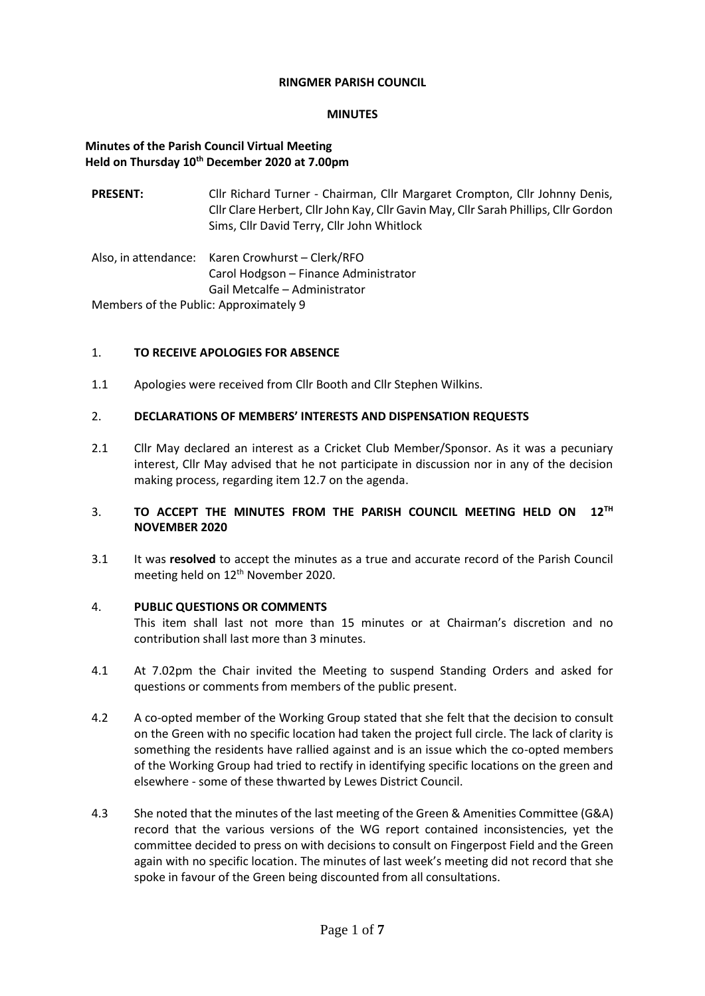#### **RINGMER PARISH COUNCIL**

#### **MINUTES**

## **Minutes of the Parish Council Virtual Meeting Held on Thursday 10th December 2020 at 7.00pm**

| <b>PRESENT:</b>                                                                                                                                                                                                                | Cllr Richard Turner - Chairman, Cllr Margaret Crompton, Cllr Johnny Denis,<br>Cllr Clare Herbert, Cllr John Kay, Cllr Gavin May, Cllr Sarah Phillips, Cllr Gordon<br>Sims, Cllr David Terry, Cllr John Whitlock |
|--------------------------------------------------------------------------------------------------------------------------------------------------------------------------------------------------------------------------------|-----------------------------------------------------------------------------------------------------------------------------------------------------------------------------------------------------------------|
|                                                                                                                                                                                                                                | Also, in attendance: Karen Crowhurst - Clerk/RFO                                                                                                                                                                |
|                                                                                                                                                                                                                                | Carol Hodgson - Finance Administrator                                                                                                                                                                           |
|                                                                                                                                                                                                                                | Gail Metcalfe - Administrator                                                                                                                                                                                   |
| Advise to a control of the Collection American control of Collection Collection Collection Collection Collection Collection Collection Collection Collection Collection Collection Collection Collection Collection Collection |                                                                                                                                                                                                                 |

Members of the Public: Approximately 9

## 1. **TO RECEIVE APOLOGIES FOR ABSENCE**

1.1 Apologies were received from Cllr Booth and Cllr Stephen Wilkins.

## 2. **DECLARATIONS OF MEMBERS' INTERESTS AND DISPENSATION REQUESTS**

2.1 Cllr May declared an interest as a Cricket Club Member/Sponsor. As it was a pecuniary interest, Cllr May advised that he not participate in discussion nor in any of the decision making process, regarding item 12.7 on the agenda.

# 3. TO ACCEPT THE MINUTES FROM THE PARISH COUNCIL MEETING HELD ON 12<sup>TH</sup> **NOVEMBER 2020**

3.1 It was **resolved** to accept the minutes as a true and accurate record of the Parish Council meeting held on 12<sup>th</sup> November 2020.

#### 4. **PUBLIC QUESTIONS OR COMMENTS**

This item shall last not more than 15 minutes or at Chairman's discretion and no contribution shall last more than 3 minutes.

- 4.1 At 7.02pm the Chair invited the Meeting to suspend Standing Orders and asked for questions or comments from members of the public present.
- 4.2 A co-opted member of the Working Group stated that she felt that the decision to consult on the Green with no specific location had taken the project full circle. The lack of clarity is something the residents have rallied against and is an issue which the co-opted members of the Working Group had tried to rectify in identifying specific locations on the green and elsewhere - some of these thwarted by Lewes District Council.
- 4.3 She noted that the minutes of the last meeting of the Green & Amenities Committee (G&A) record that the various versions of the WG report contained inconsistencies, yet the committee decided to press on with decisions to consult on Fingerpost Field and the Green again with no specific location. The minutes of last week's meeting did not record that she spoke in favour of the Green being discounted from all consultations.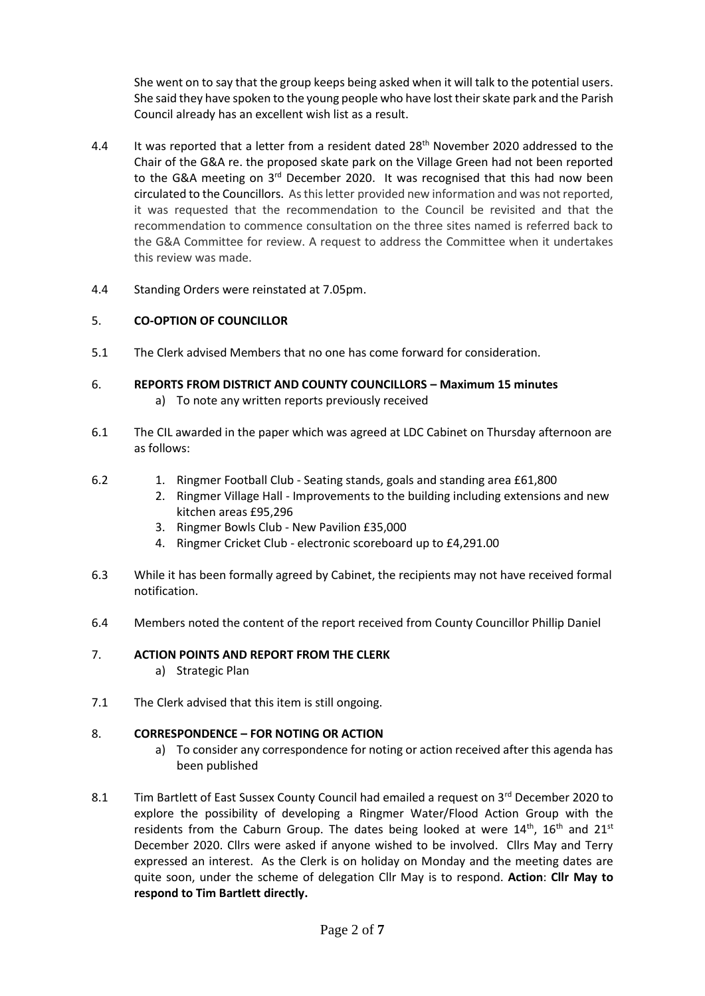She went on to say that the group keeps being asked when it will talk to the potential users. She said they have spoken to the young people who have lost their skate park and the Parish Council already has an excellent wish list as a result.

- 4.4 It was reported that a letter from a resident dated 28<sup>th</sup> November 2020 addressed to the Chair of the G&A re. the proposed skate park on the Village Green had not been reported to the G&A meeting on 3<sup>rd</sup> December 2020. It was recognised that this had now been circulated to the Councillors. As this letter provided new information and was not reported, it was requested that the recommendation to the Council be revisited and that the recommendation to commence consultation on the three sites named is referred back to the G&A Committee for review. A request to address the Committee when it undertakes this review was made.
- 4.4 Standing Orders were reinstated at 7.05pm.

# 5. **CO-OPTION OF COUNCILLOR**

- 5.1 The Clerk advised Members that no one has come forward for consideration.
- 6. **REPORTS FROM DISTRICT AND COUNTY COUNCILLORS – Maximum 15 minutes** a) To note any written reports previously received
- 6.1 The CIL awarded in the paper which was agreed at LDC Cabinet on Thursday afternoon are as follows:
- 6.2 1. Ringmer Football Club - Seating stands, goals and standing area £61,800
	- 2. Ringmer Village Hall Improvements to the building including extensions and new kitchen areas £95,296
	- 3. Ringmer Bowls Club New Pavilion £35,000
	- 4. Ringmer Cricket Club electronic scoreboard up to £4,291.00
- 6.3 While it has been formally agreed by Cabinet, the recipients may not have received formal notification.
- 6.4 Members noted the content of the report received from County Councillor Phillip Daniel

#### 7. **ACTION POINTS AND REPORT FROM THE CLERK**

- a) Strategic Plan
- 7.1 The Clerk advised that this item is still ongoing.

#### 8. **CORRESPONDENCE – FOR NOTING OR ACTION**

- a) To consider any correspondence for noting or action received after this agenda has been published
- 8.1 Tim Bartlett of East Sussex County Council had emailed a request on 3rd December 2020 to explore the possibility of developing a Ringmer Water/Flood Action Group with the residents from the Caburn Group. The dates being looked at were  $14<sup>th</sup>$ , 16<sup>th</sup> and 21<sup>st</sup> December 2020. Cllrs were asked if anyone wished to be involved. Cllrs May and Terry expressed an interest. As the Clerk is on holiday on Monday and the meeting dates are quite soon, under the scheme of delegation Cllr May is to respond. **Action**: **Cllr May to respond to Tim Bartlett directly.**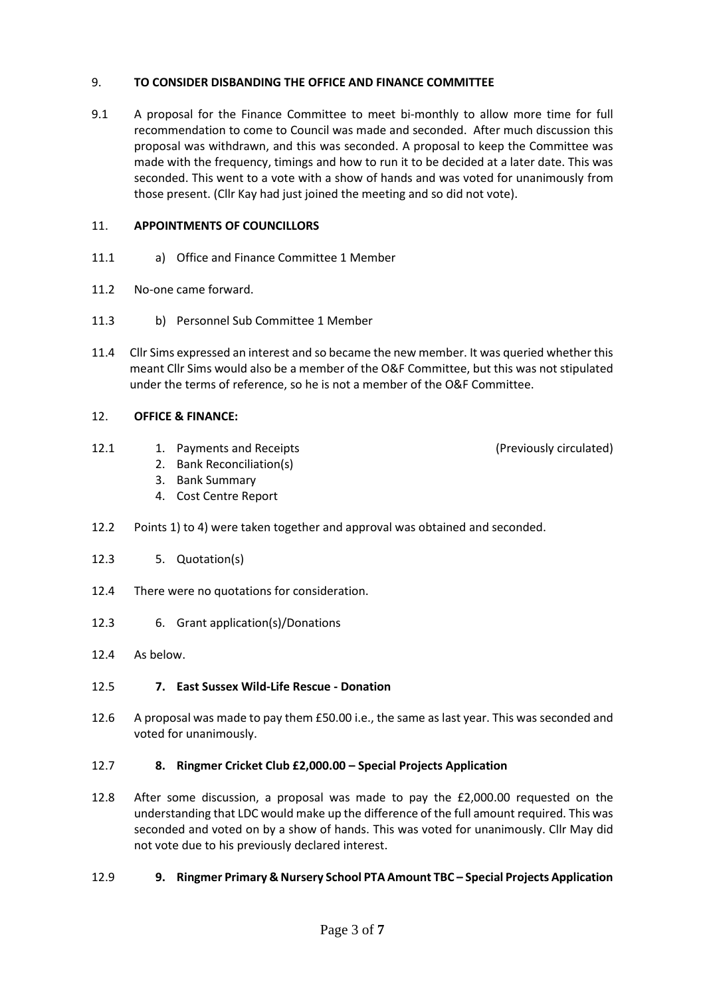## 9. **TO CONSIDER DISBANDING THE OFFICE AND FINANCE COMMITTEE**

9.1 A proposal for the Finance Committee to meet bi-monthly to allow more time for full recommendation to come to Council was made and seconded. After much discussion this proposal was withdrawn, and this was seconded. A proposal to keep the Committee was made with the frequency, timings and how to run it to be decided at a later date. This was seconded. This went to a vote with a show of hands and was voted for unanimously from those present. (Cllr Kay had just joined the meeting and so did not vote).

## 11. **APPOINTMENTS OF COUNCILLORS**

- 11.1 a) Office and Finance Committee 1 Member
- 11.2 No-one came forward.
- 11.3 b) Personnel Sub Committee 1 Member
- 11.4 Cllr Sims expressed an interest and so became the new member. It was queried whether this meant Cllr Sims would also be a member of the O&F Committee, but this was not stipulated under the terms of reference, so he is not a member of the O&F Committee.

# 12. **OFFICE & FINANCE:**

12.1 1. Payments and Receipts

(Previously circulated)

- 2. Bank Reconciliation(s)
- 3. Bank Summary
- 4. Cost Centre Report
- 12.2 Points 1) to 4) were taken together and approval was obtained and seconded.
- 12.3 5. Quotation(s)
- 12.4 There were no quotations for consideration.
- 12.3 6. Grant application(s)/Donations
- 12.4 As below.

# 12.5 **7. East Sussex Wild-Life Rescue - Donation**

12.6 A proposal was made to pay them £50.00 i.e., the same as last year. This was seconded and voted for unanimously.

# 12.7 **8. Ringmer Cricket Club £2,000.00 – Special Projects Application**

12.8 After some discussion, a proposal was made to pay the £2,000.00 requested on the understanding that LDC would make up the difference of the full amount required. This was seconded and voted on by a show of hands. This was voted for unanimously. Cllr May did not vote due to his previously declared interest.

# 12.9 **9. Ringmer Primary & Nursery School PTA Amount TBC – Special Projects Application**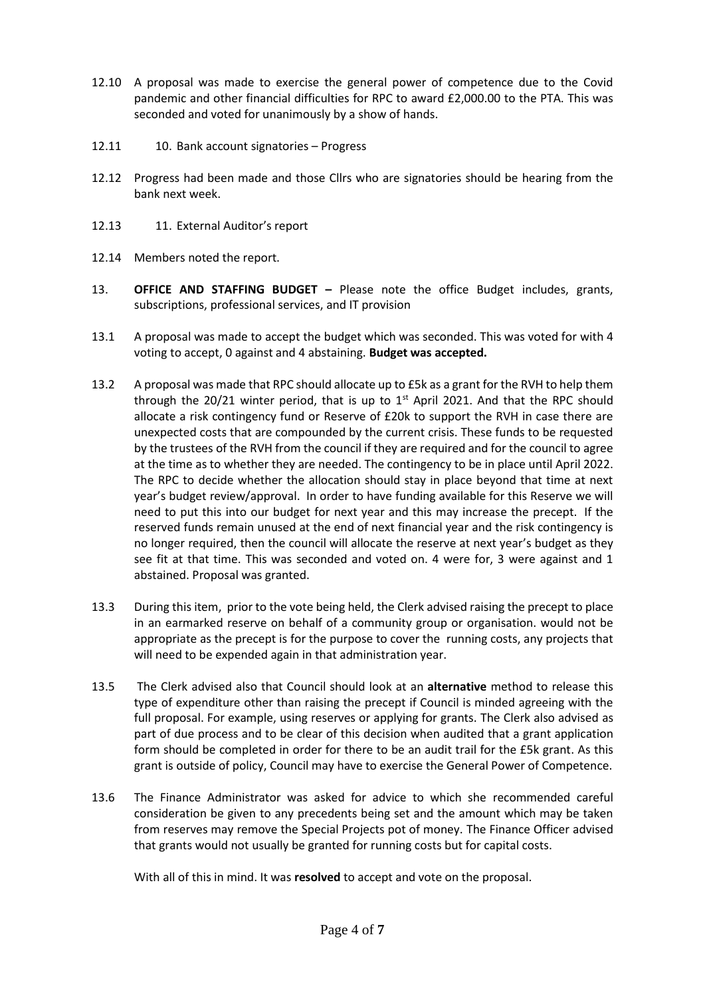- 12.10 A proposal was made to exercise the general power of competence due to the Covid pandemic and other financial difficulties for RPC to award £2,000.00 to the PTA. This was seconded and voted for unanimously by a show of hands.
- 12.11 10. Bank account signatories Progress
- 12.12 Progress had been made and those Cllrs who are signatories should be hearing from the bank next week.
- 12.13 11. External Auditor's report
- 12.14 Members noted the report.
- 13. **OFFICE AND STAFFING BUDGET –** Please note the office Budget includes, grants, subscriptions, professional services, and IT provision
- 13.1 A proposal was made to accept the budget which was seconded. This was voted for with 4 voting to accept, 0 against and 4 abstaining. **Budget was accepted.**
- 13.2 A proposal was made that RPC should allocate up to £5k as a grant for the RVH to help them through the 20/21 winter period, that is up to  $1<sup>st</sup>$  April 2021. And that the RPC should allocate a risk contingency fund or Reserve of £20k to support the RVH in case there are unexpected costs that are compounded by the current crisis. These funds to be requested by the trustees of the RVH from the council if they are required and for the council to agree at the time as to whether they are needed. The contingency to be in place until April 2022. The RPC to decide whether the allocation should stay in place beyond that time at next year's budget review/approval. In order to have funding available for this Reserve we will need to put this into our budget for next year and this may increase the precept. If the reserved funds remain unused at the end of next financial year and the risk contingency is no longer required, then the council will allocate the reserve at next year's budget as they see fit at that time. This was seconded and voted on. 4 were for, 3 were against and 1 abstained. Proposal was granted.
- 13.3 During this item, prior to the vote being held, the Clerk advised raising the precept to place in an earmarked reserve on behalf of a community group or organisation. would not be appropriate as the precept is for the purpose to cover the running costs, any projects that will need to be expended again in that administration year.
- 13.5 The Clerk advised also that Council should look at an **alternative** method to release this type of expenditure other than raising the precept if Council is minded agreeing with the full proposal. For example, using reserves or applying for grants. The Clerk also advised as part of due process and to be clear of this decision when audited that a grant application form should be completed in order for there to be an audit trail for the £5k grant. As this grant is outside of policy, Council may have to exercise the General Power of Competence.
- 13.6 The Finance Administrator was asked for advice to which she recommended careful consideration be given to any precedents being set and the amount which may be taken from reserves may remove the Special Projects pot of money. The Finance Officer advised that grants would not usually be granted for running costs but for capital costs.

With all of this in mind. It was **resolved** to accept and vote on the proposal.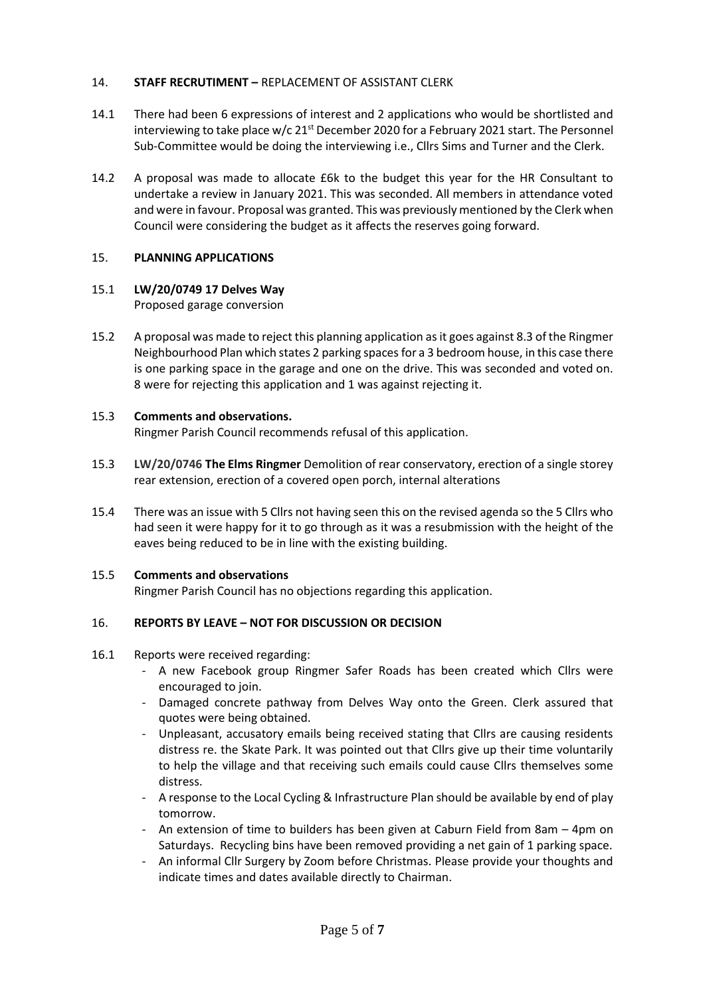## 14. **STAFF RECRUTIMENT –** REPLACEMENT OF ASSISTANT CLERK

- 14.1 There had been 6 expressions of interest and 2 applications who would be shortlisted and interviewing to take place w/c  $21^{st}$  December 2020 for a February 2021 start. The Personnel Sub-Committee would be doing the interviewing i.e., Cllrs Sims and Turner and the Clerk.
- 14.2 A proposal was made to allocate £6k to the budget this year for the HR Consultant to undertake a review in January 2021. This was seconded. All members in attendance voted and were in favour. Proposal was granted. This was previously mentioned by the Clerk when Council were considering the budget as it affects the reserves going forward.

# 15. **PLANNING APPLICATIONS**

# 15.1 **LW/20/0749 17 Delves Way**

Proposed garage conversion

15.2 A proposal was made to reject this planning application as it goes against 8.3 of the Ringmer Neighbourhood Plan which states 2 parking spaces for a 3 bedroom house, in this case there is one parking space in the garage and one on the drive. This was seconded and voted on. 8 were for rejecting this application and 1 was against rejecting it.

#### 15.3 **Comments and observations.**

Ringmer Parish Council recommends refusal of this application.

- 15.3 **LW/20/0746 The Elms Ringmer** Demolition of rear conservatory, erection of a single storey rear extension, erection of a covered open porch, internal alterations
- 15.4 There was an issue with 5 Cllrs not having seen this on the revised agenda so the 5 Cllrs who had seen it were happy for it to go through as it was a resubmission with the height of the eaves being reduced to be in line with the existing building.

#### 15.5 **Comments and observations**

Ringmer Parish Council has no objections regarding this application.

# 16. **REPORTS BY LEAVE – NOT FOR DISCUSSION OR DECISION**

#### 16.1 Reports were received regarding:

- A new Facebook group Ringmer Safer Roads has been created which Cllrs were encouraged to join.
- Damaged concrete pathway from Delves Way onto the Green. Clerk assured that quotes were being obtained.
- Unpleasant, accusatory emails being received stating that Cllrs are causing residents distress re. the Skate Park. It was pointed out that Cllrs give up their time voluntarily to help the village and that receiving such emails could cause Cllrs themselves some distress.
- A response to the Local Cycling & Infrastructure Plan should be available by end of play tomorrow.
- An extension of time to builders has been given at Caburn Field from 8am 4pm on Saturdays. Recycling bins have been removed providing a net gain of 1 parking space.
- An informal Cllr Surgery by Zoom before Christmas. Please provide your thoughts and indicate times and dates available directly to Chairman.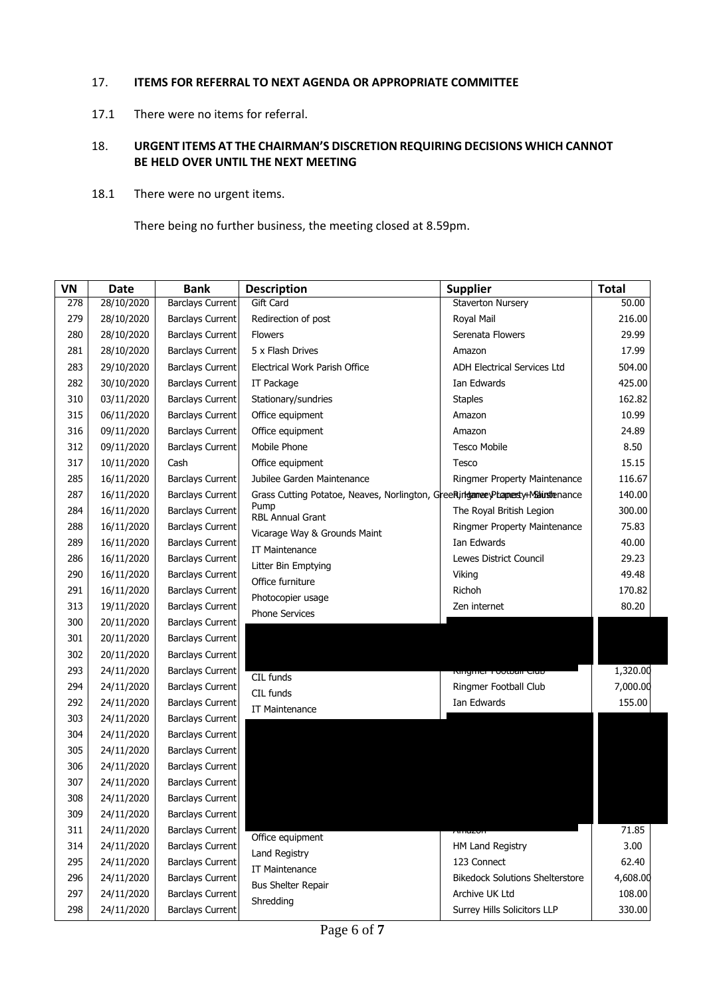#### 17. **ITEMS FOR REFERRAL TO NEXT AGENDA OR APPROPRIATE COMMITTEE**

17.1 There were no items for referral.

## 18. **URGENT ITEMS AT THE CHAIRMAN'S DISCRETION REQUIRING DECISIONS WHICH CANNOT BE HELD OVER UNTIL THE NEXT MEETING**

18.1 There were no urgent items.

There being no further business, the meeting closed at 8.59pm.

| VN  | <b>Date</b> | <b>Bank</b>             | <b>Description</b>                                                              | <b>Supplier</b>                        | <b>Total</b> |
|-----|-------------|-------------------------|---------------------------------------------------------------------------------|----------------------------------------|--------------|
| 278 | 28/10/2020  | <b>Barclays Current</b> | Gift Card                                                                       | <b>Staverton Nursery</b>               | 50.00        |
| 279 | 28/10/2020  | <b>Barclays Current</b> | Redirection of post                                                             | Royal Mail                             | 216.00       |
| 280 | 28/10/2020  | <b>Barclays Current</b> | <b>Flowers</b>                                                                  | Serenata Flowers                       | 29.99        |
| 281 | 28/10/2020  | <b>Barclays Current</b> | 5 x Flash Drives                                                                | Amazon                                 | 17.99        |
| 283 | 29/10/2020  | <b>Barclays Current</b> | Electrical Work Parish Office                                                   | <b>ADH Electrical Services Ltd</b>     | 504.00       |
| 282 | 30/10/2020  | <b>Barclays Current</b> | IT Package                                                                      | Ian Edwards                            | 425.00       |
| 310 | 03/11/2020  | <b>Barclays Current</b> | Stationary/sundries                                                             | <b>Staples</b>                         | 162.82       |
| 315 | 06/11/2020  | <b>Barclays Current</b> | Office equipment                                                                | Amazon                                 | 10.99        |
| 316 | 09/11/2020  | <b>Barclays Current</b> | Office equipment                                                                | Amazon                                 | 24.89        |
| 312 | 09/11/2020  | <b>Barclays Current</b> | Mobile Phone                                                                    | <b>Tesco Mobile</b>                    | 8.50         |
| 317 | 10/11/2020  | Cash                    | Office equipment                                                                | Tesco                                  | 15.15        |
| 285 | 16/11/2020  | <b>Barclays Current</b> | Jubilee Garden Maintenance                                                      | Ringmer Property Maintenance           | 116.67       |
| 287 | 16/11/2020  | <b>Barclays Current</b> | Grass Cutting Potatoe, Neaves, Norlington, GreeRingtameeyPtappesty+Mainstenance |                                        | 140.00       |
| 284 | 16/11/2020  | <b>Barclays Current</b> | Pump<br><b>RBL Annual Grant</b>                                                 | The Royal British Legion               | 300.00       |
| 288 | 16/11/2020  | <b>Barclays Current</b> | Vicarage Way & Grounds Maint                                                    | Ringmer Property Maintenance           | 75.83        |
| 289 | 16/11/2020  | <b>Barclays Current</b> | <b>IT Maintenance</b>                                                           | Ian Edwards                            | 40.00        |
| 286 | 16/11/2020  | <b>Barclays Current</b> | Litter Bin Emptying                                                             | Lewes District Council                 | 29.23        |
| 290 | 16/11/2020  | <b>Barclays Current</b> | Office furniture                                                                | Viking                                 | 49.48        |
| 291 | 16/11/2020  | <b>Barclays Current</b> | Photocopier usage                                                               | Richoh                                 | 170.82       |
| 313 | 19/11/2020  | <b>Barclays Current</b> | Phone Services                                                                  | Zen internet                           | 80.20        |
| 300 | 20/11/2020  | <b>Barclays Current</b> |                                                                                 |                                        |              |
| 301 | 20/11/2020  | <b>Barclays Current</b> |                                                                                 |                                        |              |
| 302 | 20/11/2020  | Barclays Current        |                                                                                 |                                        |              |
| 293 | 24/11/2020  | <b>Barclays Current</b> | CIL funds                                                                       | singinar i ootoali alab                | 1,320.00     |
| 294 | 24/11/2020  | <b>Barclays Current</b> | CIL funds                                                                       | Ringmer Football Club                  | 7,000.00     |
| 292 | 24/11/2020  | <b>Barclays Current</b> | IT Maintenance                                                                  | Ian Edwards                            | 155.00       |
| 303 | 24/11/2020  | <b>Barclays Current</b> |                                                                                 |                                        |              |
| 304 | 24/11/2020  | <b>Barclays Current</b> |                                                                                 |                                        |              |
| 305 | 24/11/2020  | <b>Barclays Current</b> |                                                                                 |                                        |              |
| 306 | 24/11/2020  | <b>Barclays Current</b> |                                                                                 |                                        |              |
| 307 | 24/11/2020  | <b>Barclays Current</b> |                                                                                 |                                        |              |
| 308 | 24/11/2020  | <b>Barclays Current</b> |                                                                                 |                                        |              |
| 309 | 24/11/2020  | <b>Barclays Current</b> |                                                                                 |                                        |              |
| 311 | 24/11/2020  | <b>Barclays Current</b> | Office equipment                                                                | חס∠טוור                                | 71.85        |
| 314 | 24/11/2020  | <b>Barclays Current</b> | Land Registry                                                                   | HM Land Registry                       | 3.00         |
| 295 | 24/11/2020  | <b>Barclays Current</b> | IT Maintenance                                                                  | 123 Connect                            | 62.40        |
| 296 | 24/11/2020  | <b>Barclays Current</b> | <b>Bus Shelter Repair</b>                                                       | <b>Bikedock Solutions Shelterstore</b> | 4,608.00     |
| 297 | 24/11/2020  | <b>Barclays Current</b> | Shredding                                                                       | Archive UK Ltd                         | 108.00       |
| 298 | 24/11/2020  | <b>Barclays Current</b> |                                                                                 | Surrey Hills Solicitors LLP            | 330.00       |